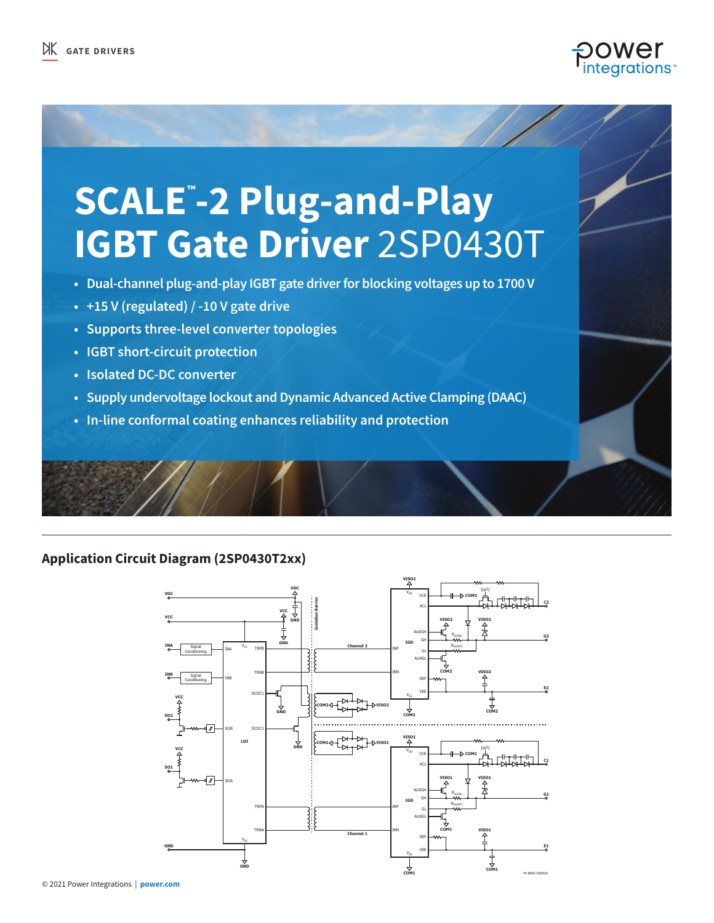

# **SCALE™ -2 Plug-and-Play IGBT Gate Driver** 2SP0430T

- **Dual-channel plug-and-play IGBT gate driver for blocking voltages up to 1700 V**
- **• +15 V (regulated) / -10 V gate drive**
- **• Supports three-level converter topologies**
- **• IGBT short-circuit protection**
- **• Isolated DC-DC converter**
- **• Supply undervoltage lockout and Dynamic Advanced Active Clamping (DAAC)**
- **• In-line conformal coating enhances reliability and protection**

## **Application Circuit Diagram (2SP0430T2xx)**